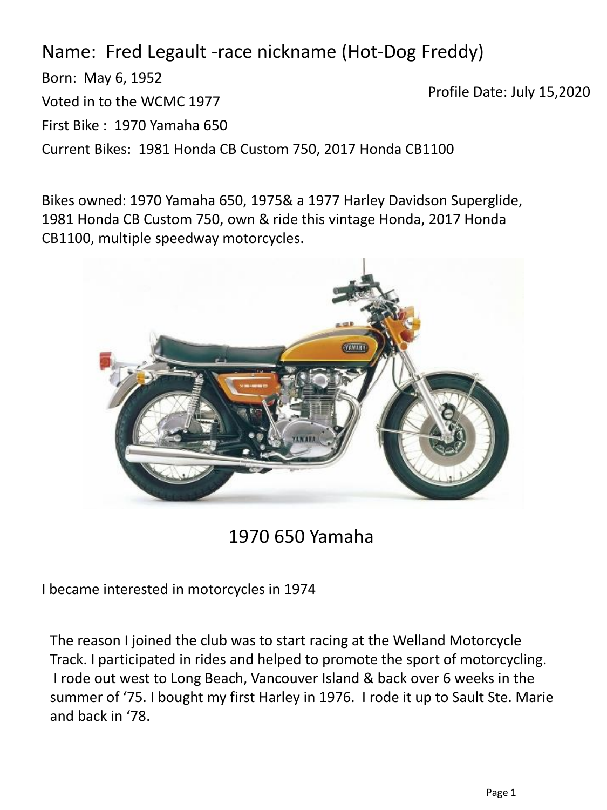Name: Fred Legault -race nickname (Hot-Dog Freddy)

Born: May 6, 1952 Voted in to the WCMC 1977 First Bike : 1970 Yamaha 650 Current Bikes: 1981 Honda CB Custom 750, 2017 Honda CB1100 Profile Date: July 15,2020

Bikes owned: 1970 Yamaha 650, 1975& a 1977 Harley Davidson Superglide, 1981 Honda CB Custom 750, own & ride this vintage Honda, 2017 Honda CB1100, multiple speedway motorcycles.



1970 650 Yamaha

I became interested in motorcycles in 1974

The reason I joined the club was to start racing at the Welland Motorcycle Track. I participated in rides and helped to promote the sport of motorcycling. I rode out west to Long Beach, Vancouver Island & back over 6 weeks in the summer of '75. I bought my first Harley in 1976. I rode it up to Sault Ste. Marie and back in '78.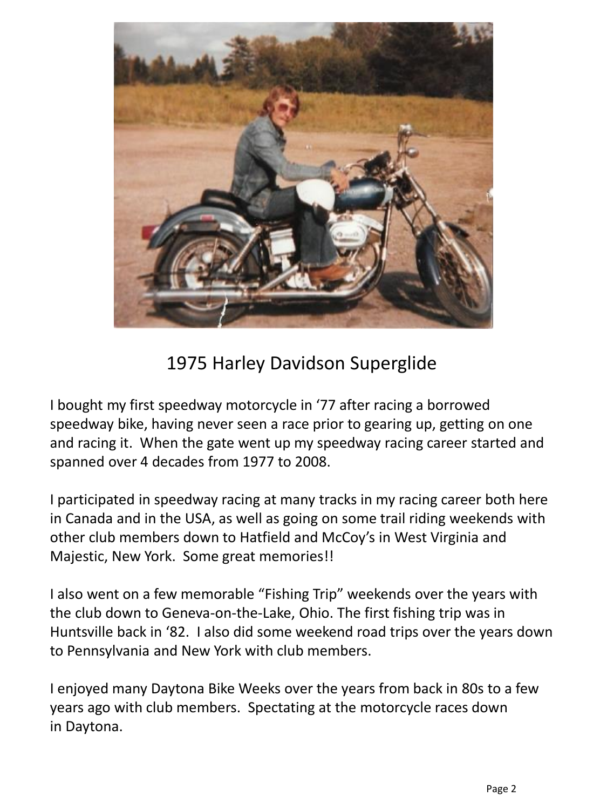

## 1975 Harley Davidson Superglide

I bought my first speedway motorcycle in '77 after racing a borrowed speedway bike, having never seen a race prior to gearing up, getting on one and racing it. When the gate went up my speedway racing career started and spanned over 4 decades from 1977 to 2008.

I participated in speedway racing at many tracks in my racing career both here in Canada and in the USA, as well as going on some trail riding weekends with other club members down to Hatfield and McCoy's in West Virginia and Majestic, New York. Some great memories!!

I also went on a few memorable "Fishing Trip" weekends over the years with the club down to Geneva-on-the-Lake, Ohio. The first fishing trip was in Huntsville back in '82. I also did some weekend road trips over the years down to Pennsylvania and New York with club members.

I enjoyed many Daytona Bike Weeks over the years from back in 80s to a few years ago with club members. Spectating at the motorcycle races down in Daytona.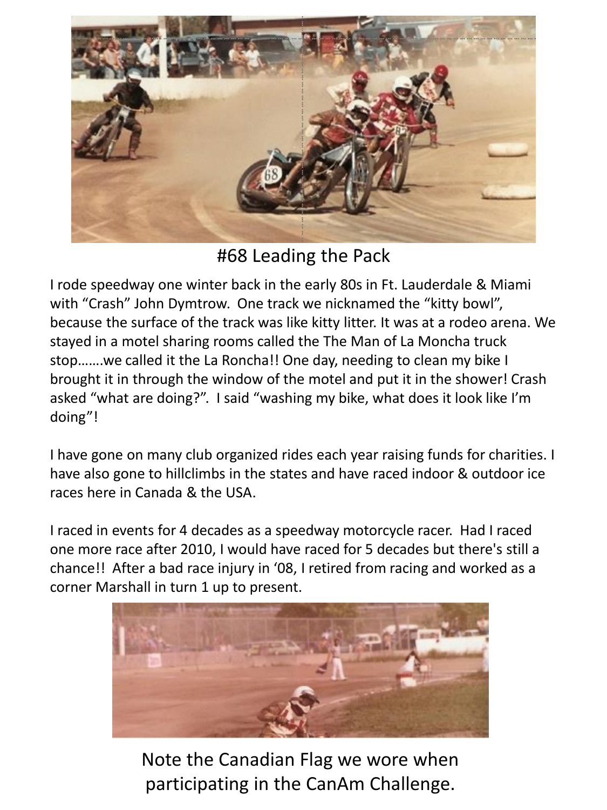

#68 Leading the Pack

I rode speedway one winter back in the early 80s in Ft. Lauderdale & Miami with "Crash" John Dymtrow. One track we nicknamed the "kitty bowl", because the surface of the track was like kitty litter. It was at a rodeo arena. We stayed in a motel sharing rooms called the The Man of La Moncha truck stop…….we called it the La Roncha!! One day, needing to clean my bike I brought it in through the window of the motel and put it in the shower! Crash asked "what are doing?". I said "washing my bike, what does it look like I'm doing"!

I have gone on many club organized rides each year raising funds for charities. I have also gone to hillclimbs in the states and have raced indoor & outdoor ice races here in Canada & the USA.

I raced in events for 4 decades as a speedway motorcycle racer. Had I raced one more race after 2010, I would have raced for 5 decades but there's still a chance!! After a bad race injury in '08, I retired from racing and worked as a corner Marshall in turn 1 up to present.



Note the Canadian Flag we wore when participating in the CanAm Challenge.